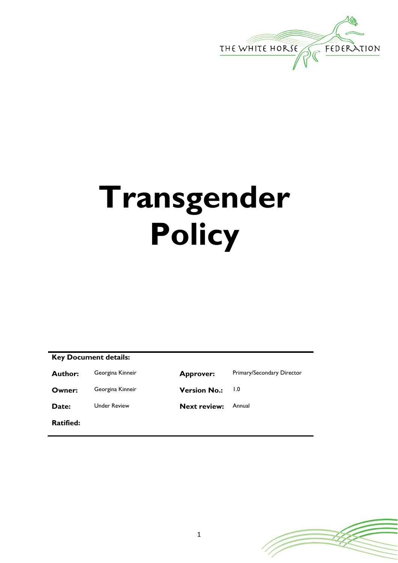

# **Transgender Policy**

# **Key Document details:**

**Owner:** Georgina Kinneir **Version No.:** 1.0

**Date:** Under Review **Next review:** Annual

**Ratified:**

Author: Georgina Kinneir **Approver:** Primary/Secondary Director

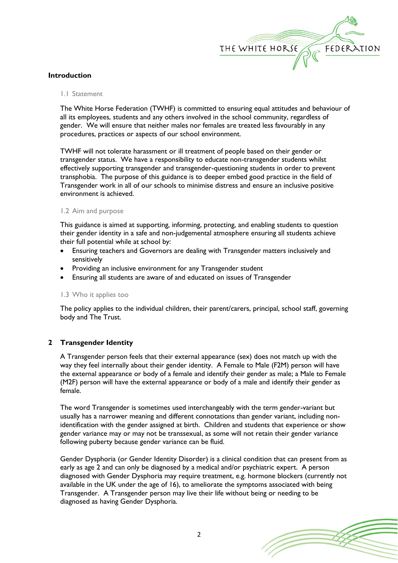

## **Introduction**

#### 1.1 Statement

The White Horse Federation (TWHF) is committed to ensuring equal attitudes and behaviour of all its employees, students and any others involved in the school community, regardless of gender. We will ensure that neither males nor females are treated less favourably in any procedures, practices or aspects of our school environment.

TWHF will not tolerate harassment or ill treatment of people based on their gender or transgender status. We have a responsibility to educate non-transgender students whilst effectively supporting transgender and transgender-questioning students in order to prevent transphobia. The purpose of this guidance is to deeper embed good practice in the field of Transgender work in all of our schools to minimise distress and ensure an inclusive positive environment is achieved.

## 1.2 Aim and purpose

This guidance is aimed at supporting, informing, protecting, and enabling students to question their gender identity in a safe and non-judgemental atmosphere ensuring all students achieve their full potential while at school by:

- Ensuring teachers and Governors are dealing with Transgender matters inclusively and sensitively
- Providing an inclusive environment for any Transgender student
- Ensuring all students are aware of and educated on issues of Transgender

## 1.3 Who it applies too

The policy applies to the individual children, their parent/carers, principal, school staff, governing body and The Trust.

## **2 Transgender Identity**

A Transgender person feels that their external appearance (sex) does not match up with the way they feel internally about their gender identity. A Female to Male (F2M) person will have the external appearance or body of a female and identify their gender as male; a Male to Female (M2F) person will have the external appearance or body of a male and identify their gender as female.

The word Transgender is sometimes used interchangeably with the term gender-variant but usually has a narrower meaning and different connotations than gender variant, including nonidentification with the gender assigned at birth. Children and students that experience or show gender variance may or may not be transsexual, as some will not retain their gender variance following puberty because gender variance can be fluid.

Gender Dysphoria (or Gender Identity Disorder) is a clinical condition that can present from as early as age 2 and can only be diagnosed by a medical and/or psychiatric expert. A person diagnosed with Gender Dysphoria may require treatment, e.g. hormone blockers (currently not available in the UK under the age of 16), to ameliorate the symptoms associated with being Transgender. A Transgender person may live their life without being or needing to be diagnosed as having Gender Dysphoria.

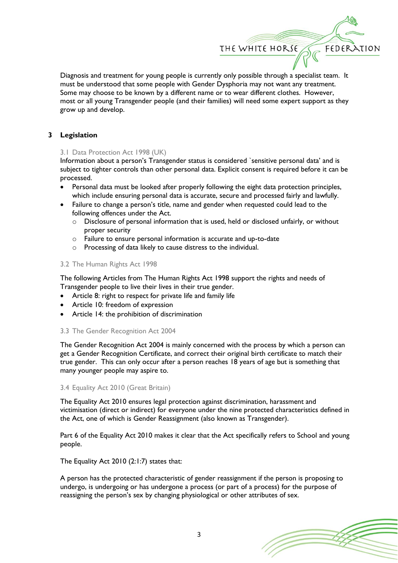Diagnosis and treatment for young people is currently only possible through a specialist team. It must be understood that some people with Gender Dysphoria may not want any treatment. Some may choose to be known by a different name or to wear different clothes. However, most or all young Transgender people (and their families) will need some expert support as they grow up and develop.

THE WHITE HORSE

FEDERATION

## **3 Legislation**

## 3.1 Data Protection Act 1998 (UK)

Information about a person's Transgender status is considered `sensitive personal data' and is subject to tighter controls than other personal data. Explicit consent is required before it can be processed.

- Personal data must be looked after properly following the eight data protection principles, which include ensuring personal data is accurate, secure and processed fairly and lawfully.
- Failure to change a person's title, name and gender when requested could lead to the following offences under the Act.
	- o Disclosure of personal information that is used, held or disclosed unfairly, or without proper security
	- o Failure to ensure personal information is accurate and up-to-date
	- o Processing of data likely to cause distress to the individual.

## 3.2 The Human Rights Act 1998

The following Articles from The Human Rights Act 1998 support the rights and needs of Transgender people to live their lives in their true gender.

- Article 8: right to respect for private life and family life
- Article 10: freedom of expression
- Article 14: the prohibition of discrimination

## 3.3 The Gender Recognition Act 2004

The Gender Recognition Act 2004 is mainly concerned with the process by which a person can get a Gender Recognition Certificate, and correct their original birth certificate to match their true gender. This can only occur after a person reaches 18 years of age but is something that many younger people may aspire to.

## 3.4 Equality Act 2010 (Great Britain)

The Equality Act 2010 ensures legal protection against discrimination, harassment and victimisation (direct or indirect) for everyone under the nine protected characteristics defined in the Act, one of which is Gender Reassignment (also known as Transgender).

Part 6 of the Equality Act 2010 makes it clear that the Act specifically refers to School and young people.

The Equality Act 2010 (2:1:7) states that:

A person has the protected characteristic of gender reassignment if the person is proposing to undergo, is undergoing or has undergone a process (or part of a process) for the purpose of reassigning the person's sex by changing physiological or other attributes of sex.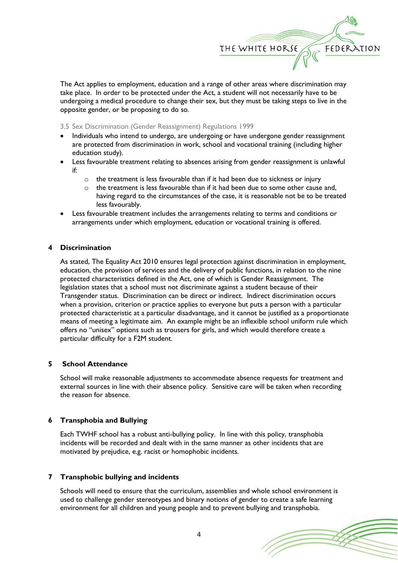

The Act applies to employment, education and a range of other areas where discrimination may take place. In order to be protected under the Act, a student will not necessarily have to be undergoing a medical procedure to change their sex, but they must be taking steps to live in the opposite gender, or be proposing to do so.

3.5 Sex Discrimination (Gender Reassignment) Regulations 1999

- Individuals who intend to undergo, are undergoing or have undergone gender reassignment are protected from discrimination in work, school and vocational training (including higher education study).
- Less favourable treatment relating to absences arising from gender reassignment is unlawful if:
	- o the treatment is less favourable than if it had been due to sickness or injury
	- $\circ$  the treatment is less favourable than if it had been due to some other cause and, having regard to the circumstances of the case, it is reasonable not be to be treated less favourably.
- Less favourable treatment includes the arrangements relating to terms and conditions or arrangements under which employment, education or vocational training is offered.

## **4 Discrimination**

As stated, The Equality Act 2010 ensures legal protection against discrimination in employment, education, the provision of services and the delivery of public functions, in relation to the nine protected characteristics defined in the Act, one of which is Gender Reassignment. The legislation states that a school must not discriminate against a student because of their Transgender status. Discrimination can be direct or indirect. Indirect discrimination occurs when a provision, criterion or practice applies to everyone but puts a person with a particular protected characteristic at a particular disadvantage, and it cannot be justified as a proportionate means of meeting a legitimate aim. An example might be an inflexible school uniform rule which offers no "unisex" options such as trousers for girls, and which would therefore create a particular difficulty for a F2M student.

## **5 School Attendance**

School will make reasonable adjustments to accommodate absence requests for treatment and external sources in line with their absence policy. Sensitive care will be taken when recording the reason for absence.

## **6 Transphobia and Bullying**

Each TWHF school has a robust anti-bullying policy. In line with this policy, transphobia incidents will be recorded and dealt with in the same manner as other incidents that are motivated by prejudice, e.g. racist or homophobic incidents.

## **7 Transphobic bullying and incidents**

Schools will need to ensure that the curriculum, assemblies and whole school environment is used to challenge gender stereotypes and binary notions of gender to create a safe learning environment for all children and young people and to prevent bullying and transphobia.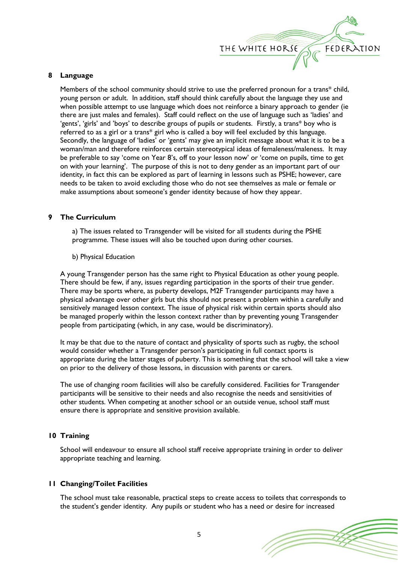

#### **8 Language**

Members of the school community should strive to use the preferred pronoun for a trans\* child, young person or adult. In addition, staff should think carefully about the language they use and when possible attempt to use language which does not reinforce a binary approach to gender (ie there are just males and females). Staff could reflect on the use of language such as 'ladies' and 'gents', 'girls' and 'boys' to describe groups of pupils or students. Firstly, a trans\* boy who is referred to as a girl or a trans\* girl who is called a boy will feel excluded by this language. Secondly, the language of 'ladies' or 'gents' may give an implicit message about what it is to be a woman/man and therefore reinforces certain stereotypical ideas of femaleness/maleness. It may be preferable to say 'come on Year 8's, off to your lesson now' or 'come on pupils, time to get on with your learning'. The purpose of this is not to deny gender as an important part of our identity, in fact this can be explored as part of learning in lessons such as PSHE; however, care needs to be taken to avoid excluding those who do not see themselves as male or female or make assumptions about someone's gender identity because of how they appear.

## **9 The Curriculum**

a) The issues related to Transgender will be visited for all students during the PSHE programme. These issues will also be touched upon during other courses.

b) Physical Education

A young Transgender person has the same right to Physical Education as other young people. There should be few, if any, issues regarding participation in the sports of their true gender. There may be sports where, as puberty develops, M2F Transgender participants may have a physical advantage over other girls but this should not present a problem within a carefully and sensitively managed lesson context. The issue of physical risk within certain sports should also be managed properly within the lesson context rather than by preventing young Transgender people from participating (which, in any case, would be discriminatory).

It may be that due to the nature of contact and physicality of sports such as rugby, the school would consider whether a Transgender person's participating in full contact sports is appropriate during the latter stages of puberty. This is something that the school will take a view on prior to the delivery of those lessons, in discussion with parents or carers.

The use of changing room facilities will also be carefully considered. Facilities for Transgender participants will be sensitive to their needs and also recognise the needs and sensitivities of other students. When competing at another school or an outside venue, school staff must ensure there is appropriate and sensitive provision available.

## **10 Training**

School will endeavour to ensure all school staff receive appropriate training in order to deliver appropriate teaching and learning.

#### **11 Changing/Toilet Facilities**

The school must take reasonable, practical steps to create access to toilets that corresponds to the student's gender identity. Any pupils or student who has a need or desire for increased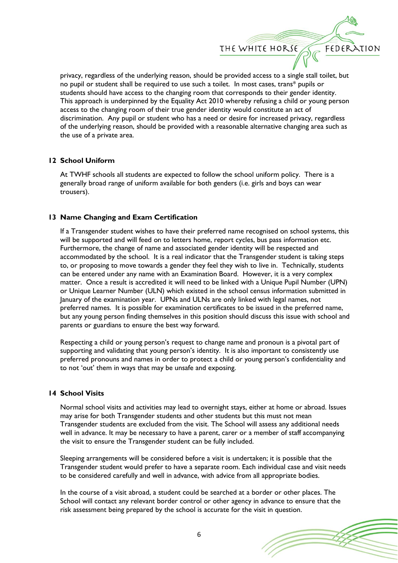

privacy, regardless of the underlying reason, should be provided access to a single stall toilet, but no pupil or student shall be required to use such a toilet. In most cases, trans\* pupils or students should have access to the changing room that corresponds to their gender identity. This approach is underpinned by the Equality Act 2010 whereby refusing a child or young person access to the changing room of their true gender identity would constitute an act of discrimination. Any pupil or student who has a need or desire for increased privacy, regardless of the underlying reason, should be provided with a reasonable alternative changing area such as the use of a private area.

## **12 School Uniform**

At TWHF schools all students are expected to follow the school uniform policy. There is a generally broad range of uniform available for both genders (i.e. girls and boys can wear trousers).

## **13 Name Changing and Exam Certification**

If a Transgender student wishes to have their preferred name recognised on school systems, this will be supported and will feed on to letters home, report cycles, bus pass information etc. Furthermore, the change of name and associated gender identity will be respected and accommodated by the school. It is a real indicator that the Transgender student is taking steps to, or proposing to move towards a gender they feel they wish to live in. Technically, students can be entered under any name with an Examination Board. However, it is a very complex matter. Once a result is accredited it will need to be linked with a Unique Pupil Number (UPN) or Unique Learner Number (ULN) which existed in the school census information submitted in January of the examination year. UPNs and ULNs are only linked with legal names, not preferred names. It is possible for examination certificates to be issued in the preferred name, but any young person finding themselves in this position should discuss this issue with school and parents or guardians to ensure the best way forward.

Respecting a child or young person's request to change name and pronoun is a pivotal part of supporting and validating that young person's identity. It is also important to consistently use preferred pronouns and names in order to protect a child or young person's confidentiality and to not 'out' them in ways that may be unsafe and exposing.

## **14 School Visits**

Normal school visits and activities may lead to overnight stays, either at home or abroad. Issues may arise for both Transgender students and other students but this must not mean Transgender students are excluded from the visit. The School will assess any additional needs well in advance. It may be necessary to have a parent, carer or a member of staff accompanying the visit to ensure the Transgender student can be fully included.

Sleeping arrangements will be considered before a visit is undertaken; it is possible that the Transgender student would prefer to have a separate room. Each individual case and visit needs to be considered carefully and well in advance, with advice from all appropriate bodies.

In the course of a visit abroad, a student could be searched at a border or other places. The School will contact any relevant border control or other agency in advance to ensure that the risk assessment being prepared by the school is accurate for the visit in question.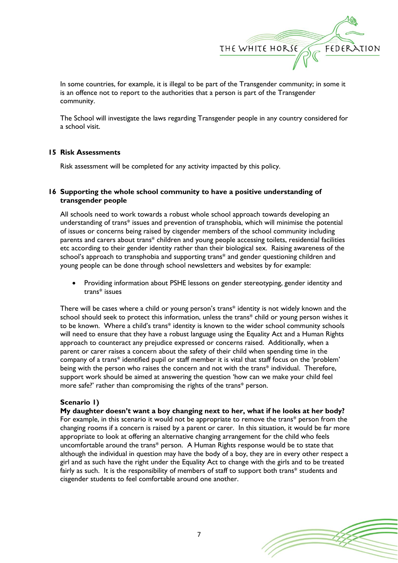

In some countries, for example, it is illegal to be part of the Transgender community; in some it is an offence not to report to the authorities that a person is part of the Transgender community.

The School will investigate the laws regarding Transgender people in any country considered for a school visit.

#### **15 Risk Assessments**

Risk assessment will be completed for any activity impacted by this policy.

## **16 Supporting the whole school community to have a positive understanding of transgender people**

All schools need to work towards a robust whole school approach towards developing an understanding of trans\* issues and prevention of transphobia, which will minimise the potential of issues or concerns being raised by cisgender members of the school community including parents and carers about trans\* children and young people accessing toilets, residential facilities etc according to their gender identity rather than their biological sex. Raising awareness of the school's approach to transphobia and supporting trans\* and gender questioning children and young people can be done through school newsletters and websites by for example:

• Providing information about PSHE lessons on gender stereotyping, gender identity and trans\* issues

There will be cases where a child or young person's trans\* identity is not widely known and the school should seek to protect this information, unless the trans\* child or young person wishes it to be known. Where a child's trans\* identity is known to the wider school community schools will need to ensure that they have a robust language using the Equality Act and a Human Rights approach to counteract any prejudice expressed or concerns raised. Additionally, when a parent or carer raises a concern about the safety of their child when spending time in the company of a trans\* identified pupil or staff member it is vital that staff focus on the 'problem' being with the person who raises the concern and not with the trans\* individual. Therefore, support work should be aimed at answering the question 'how can we make your child feel more safe?' rather than compromising the rights of the trans\* person.

## **Scenario 1)**

**My daughter doesn't want a boy changing next to her, what if he looks at her body?**  For example, in this scenario it would not be appropriate to remove the trans\* person from the changing rooms if a concern is raised by a parent or carer. In this situation, it would be far more appropriate to look at offering an alternative changing arrangement for the child who feels uncomfortable around the trans\* person. A Human Rights response would be to state that although the individual in question may have the body of a boy, they are in every other respect a girl and as such have the right under the Equality Act to change with the girls and to be treated fairly as such. It is the responsibility of members of staff to support both trans\* students and cisgender students to feel comfortable around one another.

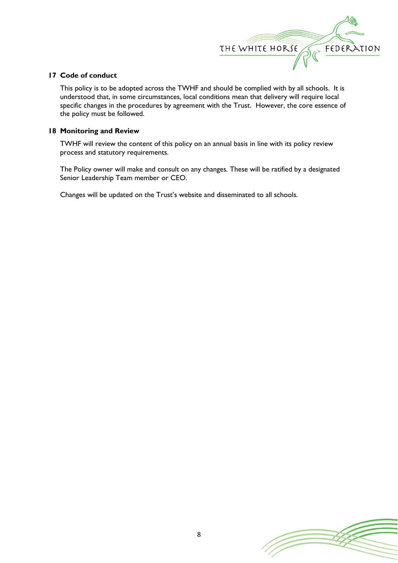

## **17 Code of conduct**

This policy is to be adopted across the TWHF and should be complied with by all schools. It is understood that, in some circumstances, local conditions mean that delivery will require local specific changes in the procedures by agreement with the Trust. However, the core essence of the policy must be followed.

## **18 Monitoring and Review**

TWHF will review the content of this policy on an annual basis in line with its policy review process and statutory requirements.

The Policy owner will make and consult on any changes. These will be ratified by a designated Senior Leadership Team member or CEO.

Changes will be updated on the Trust's website and disseminated to all schools.

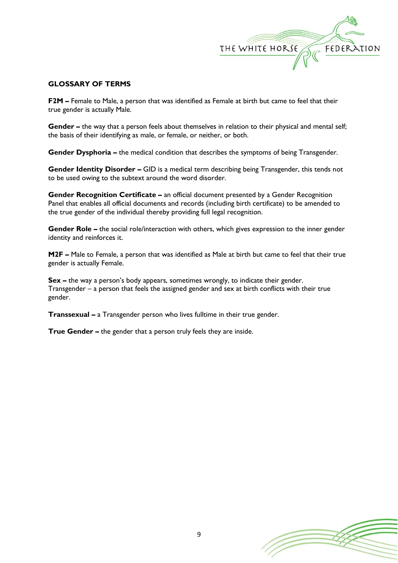

## **GLOSSARY OF TERMS**

**F2M –** Female to Male, a person that was identified as Female at birth but came to feel that their true gender is actually Male.

**Gender** – the way that a person feels about themselves in relation to their physical and mental self; the basis of their identifying as male, or female, or neither, or both.

**Gender Dysphoria –** the medical condition that describes the symptoms of being Transgender.

**Gender Identity Disorder –** GID is a medical term describing being Transgender, this tends not to be used owing to the subtext around the word disorder.

**Gender Recognition Certificate –** an official document presented by a Gender Recognition Panel that enables all official documents and records (including birth certificate) to be amended to the true gender of the individual thereby providing full legal recognition.

**Gender Role –** the social role/interaction with others, which gives expression to the inner gender identity and reinforces it.

**M2F –** Male to Female, a person that was identified as Male at birth but came to feel that their true gender is actually Female.

**Sex –** the way a person's body appears, sometimes wrongly, to indicate their gender. Transgender – a person that feels the assigned gender and sex at birth conflicts with their true gender.

**Transsexual –** a Transgender person who lives fulltime in their true gender.

**True Gender –** the gender that a person truly feels they are inside.

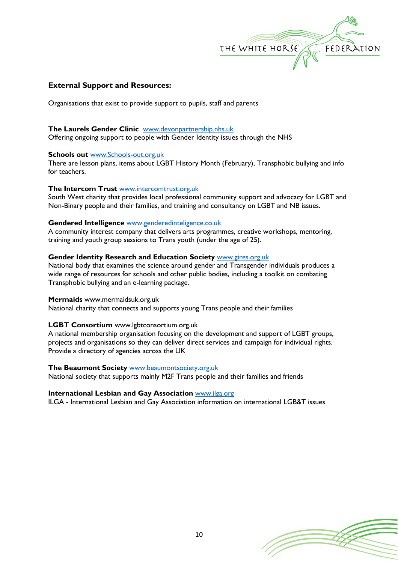

## **External Support and Resources:**

Organisations that exist to provide support to pupils, staff and parents

#### **The Laurels Gender Clinic** [www.devonpartnership.nhs.uk](http://www.devonpartnership.nhs.uk/)

Offering ongoing support to people with Gender Identity issues through the NHS

## **Schools out** [www.Schools-out.org.uk](http://www.schools-out.org.uk/)

There are lesson plans, items about LGBT History Month (February), Transphobic bullying and info for teachers.

#### **The Intercom Trust** [www.intercomtrust.org.uk](http://www.intercomtrust.org.uk/)

South West charity that provides local professional community support and advocacy for LGBT and Non-Binary people and their families, and training and consultancy on LGBT and NB issues.

#### **Gendered Intelligence** [www.genderedinteligence.co.uk](http://www.genderedinteligence.co.uk/)

A community interest company that delivers arts programmes, creative workshops, mentoring, training and youth group sessions to Trans youth (under the age of 25).

#### **Gender Identity Research and Education Society** [www.gires.org.uk](http://www.gires.org.uk/)

National body that examines the science around gender and Transgender individuals produces a wide range of resources for schools and other public bodies, including a toolkit on combating Transphobic bullying and an e-learning package.

#### **Mermaids** www.mermaidsuk.org.uk

National charity that connects and supports young Trans people and their families

## **LGBT Consortium** www.lgbtconsortium.org.uk

A national membership organisation focusing on the development and support of LGBT groups, projects and organisations so they can deliver direct services and campaign for individual rights. Provide a directory of agencies across the UK

## **The Beaumont Society** [www.beaumontsociety.org.uk](http://www.beaumontsociety.org.uk/)

National society that supports mainly M2F Trans people and their families and friends

#### **International Lesbian and Gay Association** [www.ilga.org](http://www.ilga.org/)

ILGA - International Lesbian and Gay Association information on international LGB&T issues